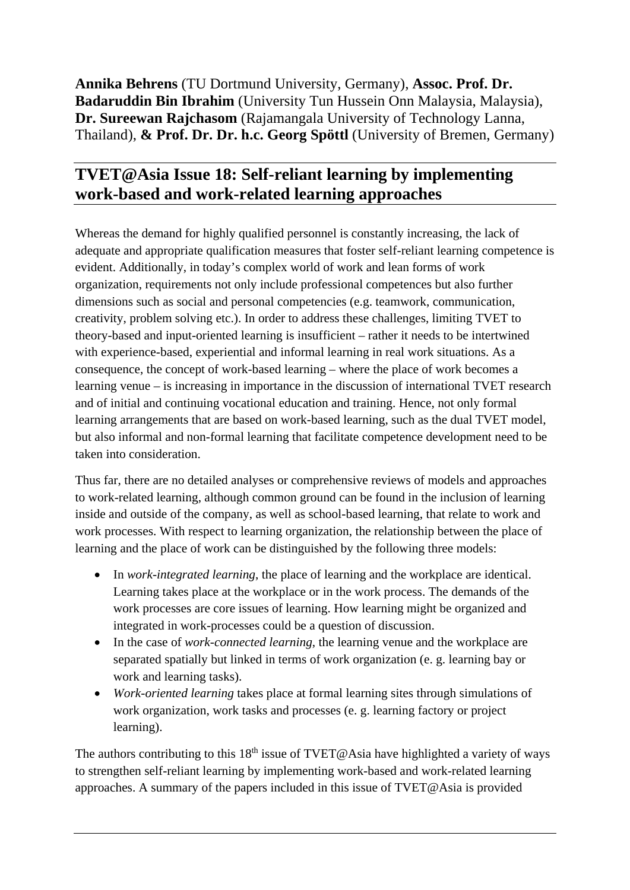**Annika Behrens** (TU Dortmund University, Germany), **Assoc. Prof. Dr. Badaruddin Bin Ibrahim** (University Tun Hussein Onn Malaysia, Malaysia), **Dr. Sureewan Rajchasom** (Rajamangala University of Technology Lanna, Thailand), **& Prof. Dr. Dr. h.c. Georg Spöttl** (University of Bremen, Germany)

## **TVET@Asia Issue 18: Self-reliant learning by implementing work-based and work-related learning approaches**

Whereas the demand for highly qualified personnel is constantly increasing, the lack of adequate and appropriate qualification measures that foster self-reliant learning competence is evident. Additionally, in today's complex world of work and lean forms of work organization, requirements not only include professional competences but also further dimensions such as social and personal competencies (e.g. teamwork, communication, creativity, problem solving etc.). In order to address these challenges, limiting TVET to theory-based and input-oriented learning is insufficient – rather it needs to be intertwined with experience-based, experiential and informal learning in real work situations. As a consequence, the concept of work-based learning – where the place of work becomes a learning venue – is increasing in importance in the discussion of international TVET research and of initial and continuing vocational education and training. Hence, not only formal learning arrangements that are based on work-based learning, such as the dual TVET model, but also informal and non-formal learning that facilitate competence development need to be taken into consideration.

Thus far, there are no detailed analyses or comprehensive reviews of models and approaches to work-related learning, although common ground can be found in the inclusion of learning inside and outside of the company, as well as school-based learning, that relate to work and work processes. With respect to learning organization, the relationship between the place of learning and the place of work can be distinguished by the following three models:

- In *work-integrated learning*, the place of learning and the workplace are identical. Learning takes place at the workplace or in the work process. The demands of the work processes are core issues of learning. How learning might be organized and integrated in work-processes could be a question of discussion.
- In the case of *work-connected learning*, the learning venue and the workplace are separated spatially but linked in terms of work organization (e. g. learning bay or work and learning tasks).
- *Work-oriented learning* takes place at formal learning sites through simulations of work organization, work tasks and processes (e. g. learning factory or project learning).

The authors contributing to this  $18<sup>th</sup>$  issue of TVET@Asia have highlighted a variety of ways to strengthen self-reliant learning by implementing work-based and work-related learning approaches. A summary of the papers included in this issue of TVET@Asia is provided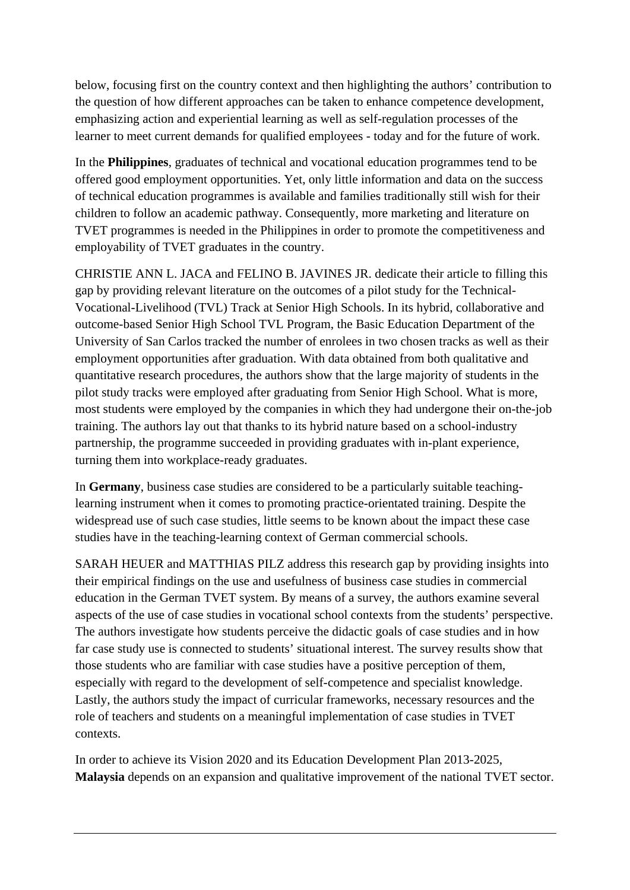below, focusing first on the country context and then highlighting the authors' contribution to the question of how different approaches can be taken to enhance competence development, emphasizing action and experiential learning as well as self-regulation processes of the learner to meet current demands for qualified employees - today and for the future of work.

In the **Philippines**, graduates of technical and vocational education programmes tend to be offered good employment opportunities. Yet, only little information and data on the success of technical education programmes is available and families traditionally still wish for their children to follow an academic pathway. Consequently, more marketing and literature on TVET programmes is needed in the Philippines in order to promote the competitiveness and employability of TVET graduates in the country.

CHRISTIE ANN L. JACA and FELINO B. JAVINES JR. dedicate their article to filling this gap by providing relevant literature on the outcomes of a pilot study for the Technical-Vocational-Livelihood (TVL) Track at Senior High Schools. In its hybrid, collaborative and outcome-based Senior High School TVL Program, the Basic Education Department of the University of San Carlos tracked the number of enrolees in two chosen tracks as well as their employment opportunities after graduation. With data obtained from both qualitative and quantitative research procedures, the authors show that the large majority of students in the pilot study tracks were employed after graduating from Senior High School. What is more, most students were employed by the companies in which they had undergone their on-the-job training. The authors lay out that thanks to its hybrid nature based on a school-industry partnership, the programme succeeded in providing graduates with in-plant experience, turning them into workplace-ready graduates.

In **Germany**, business case studies are considered to be a particularly suitable teachinglearning instrument when it comes to promoting practice-orientated training. Despite the widespread use of such case studies, little seems to be known about the impact these case studies have in the teaching-learning context of German commercial schools.

SARAH HEUER and MATTHIAS PILZ address this research gap by providing insights into their empirical findings on the use and usefulness of business case studies in commercial education in the German TVET system. By means of a survey, the authors examine several aspects of the use of case studies in vocational school contexts from the students' perspective. The authors investigate how students perceive the didactic goals of case studies and in how far case study use is connected to students' situational interest. The survey results show that those students who are familiar with case studies have a positive perception of them, especially with regard to the development of self-competence and specialist knowledge. Lastly, the authors study the impact of curricular frameworks, necessary resources and the role of teachers and students on a meaningful implementation of case studies in TVET contexts.

In order to achieve its Vision 2020 and its Education Development Plan 2013-2025, **Malaysia** depends on an expansion and qualitative improvement of the national TVET sector.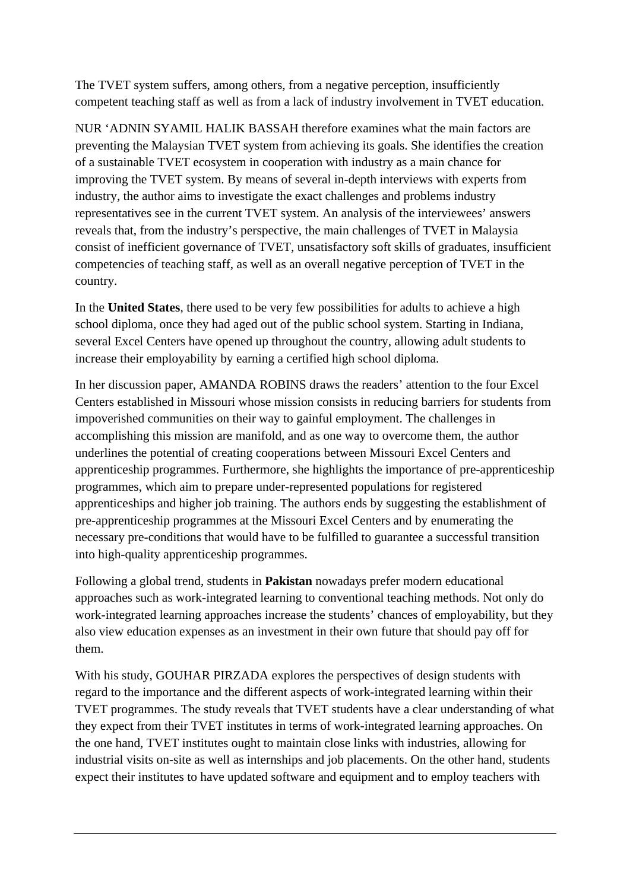The TVET system suffers, among others, from a negative perception, insufficiently competent teaching staff as well as from a lack of industry involvement in TVET education.

NUR 'ADNIN SYAMIL HALIK BASSAH therefore examines what the main factors are preventing the Malaysian TVET system from achieving its goals. She identifies the creation of a sustainable TVET ecosystem in cooperation with industry as a main chance for improving the TVET system. By means of several in-depth interviews with experts from industry, the author aims to investigate the exact challenges and problems industry representatives see in the current TVET system. An analysis of the interviewees' answers reveals that, from the industry's perspective, the main challenges of TVET in Malaysia consist of inefficient governance of TVET, unsatisfactory soft skills of graduates, insufficient competencies of teaching staff, as well as an overall negative perception of TVET in the country.

In the **United States**, there used to be very few possibilities for adults to achieve a high school diploma, once they had aged out of the public school system. Starting in Indiana, several Excel Centers have opened up throughout the country, allowing adult students to increase their employability by earning a certified high school diploma.

In her discussion paper, AMANDA ROBINS draws the readers' attention to the four Excel Centers established in Missouri whose mission consists in reducing barriers for students from impoverished communities on their way to gainful employment. The challenges in accomplishing this mission are manifold, and as one way to overcome them, the author underlines the potential of creating cooperations between Missouri Excel Centers and apprenticeship programmes. Furthermore, she highlights the importance of pre-apprenticeship programmes, which aim to prepare under-represented populations for registered apprenticeships and higher job training. The authors ends by suggesting the establishment of pre-apprenticeship programmes at the Missouri Excel Centers and by enumerating the necessary pre-conditions that would have to be fulfilled to guarantee a successful transition into high-quality apprenticeship programmes.

Following a global trend, students in **Pakistan** nowadays prefer modern educational approaches such as work-integrated learning to conventional teaching methods. Not only do work-integrated learning approaches increase the students' chances of employability, but they also view education expenses as an investment in their own future that should pay off for them.

With his study, GOUHAR PIRZADA explores the perspectives of design students with regard to the importance and the different aspects of work-integrated learning within their TVET programmes. The study reveals that TVET students have a clear understanding of what they expect from their TVET institutes in terms of work-integrated learning approaches. On the one hand, TVET institutes ought to maintain close links with industries, allowing for industrial visits on-site as well as internships and job placements. On the other hand, students expect their institutes to have updated software and equipment and to employ teachers with